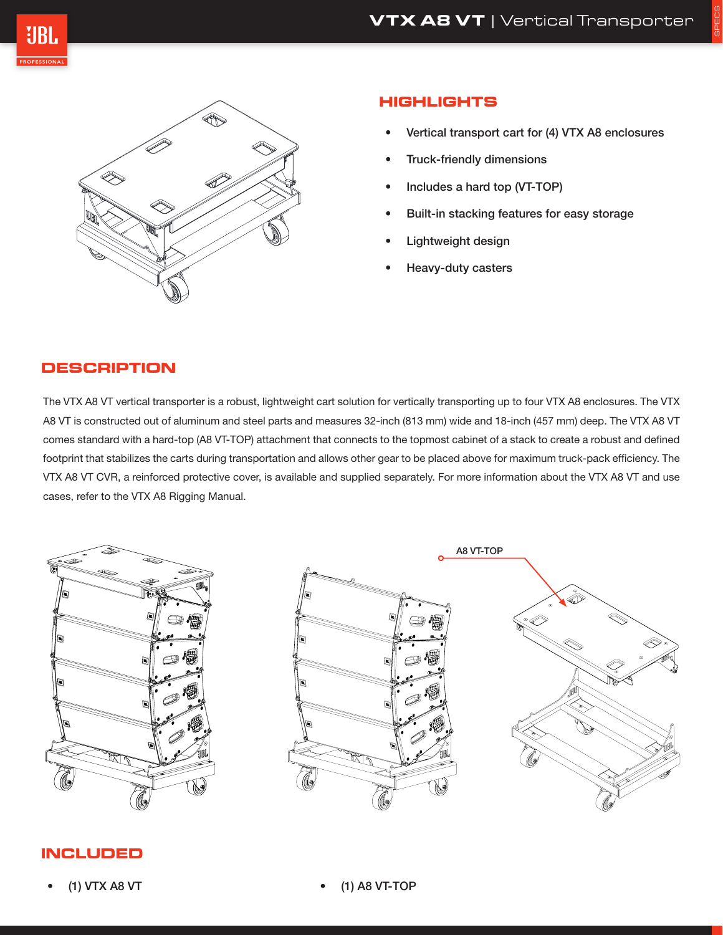SPECS





# **HIGHLIGHTS**

- Vertical transport cart for (4) VTX A8 enclosures
- Truck-friendly dimensions
- Includes a hard top (VT-TOP)
- Built-in stacking features for easy storage
- Lightweight design
- Heavy-duty casters

# **DESCRIPTION**

The VTX A8 VT vertical transporter is a robust, lightweight cart solution for vertically transporting up to four VTX A8 enclosures. The VTX A8 VT is constructed out of aluminum and steel parts and measures 32-inch (813 mm) wide and 18-inch (457 mm) deep. The VTX A8 VT comes standard with a hard-top (A8 VT-TOP) attachment that connects to the topmost cabinet of a stack to create a robust and defined footprint that stabilizes the carts during transportation and allows other gear to be placed above for maximum truck-pack efficiency. The VTX A8 VT CVR, a reinforced protective cover, is available and supplied separately. For more information about the VTX A8 VT and use cases, refer to the VTX A8 Rigging Manual.



# **INCLUDED**

• (1) A8 VT-TOP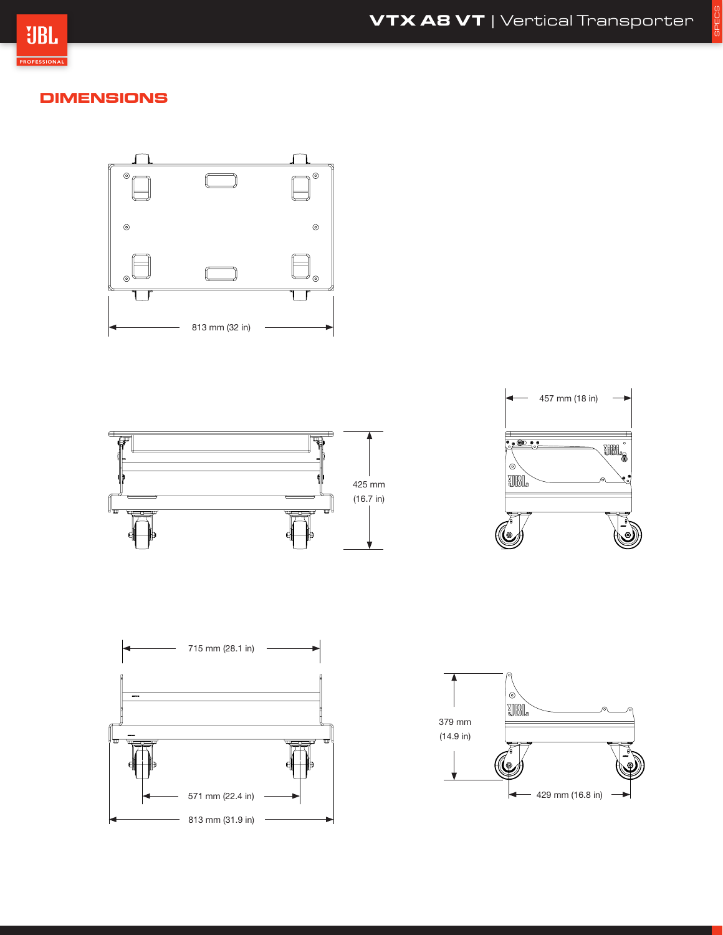

# **DIMENSIONS**